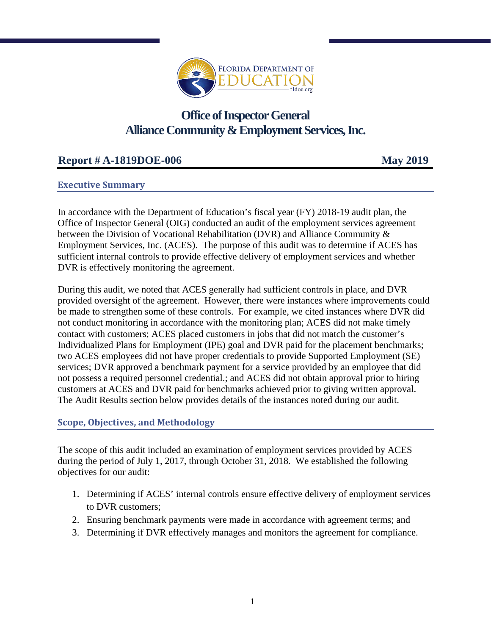

# **Office of Inspector General Alliance Community & Employment Services, Inc.**

# **Report # A-1819DOE-006 May 2019**

# **Executive Summary**

In accordance with the Department of Education's fiscal year (FY) 2018-19 audit plan, the Office of Inspector General (OIG) conducted an audit of the employment services agreement between the Division of Vocational Rehabilitation (DVR) and Alliance Community & Employment Services, Inc. (ACES). The purpose of this audit was to determine if ACES has sufficient internal controls to provide effective delivery of employment services and whether DVR is effectively monitoring the agreement.

During this audit, we noted that ACES generally had sufficient controls in place, and DVR provided oversight of the agreement. However, there were instances where improvements could be made to strengthen some of these controls. For example, we cited instances where DVR did not conduct monitoring in accordance with the monitoring plan; ACES did not make timely contact with customers; ACES placed customers in jobs that did not match the customer's Individualized Plans for Employment (IPE) goal and DVR paid for the placement benchmarks; two ACES employees did not have proper credentials to provide Supported Employment (SE) services; DVR approved a benchmark payment for a service provided by an employee that did not possess a required personnel credential.; and ACES did not obtain approval prior to hiring customers at ACES and DVR paid for benchmarks achieved prior to giving written approval. The Audit Results section below provides details of the instances noted during our audit.

# **Scope, Objectives, and Methodology**

The scope of this audit included an examination of employment services provided by ACES during the period of July 1, 2017, through October 31, 2018. We established the following objectives for our audit:

- 1. Determining if ACES' internal controls ensure effective delivery of employment services to DVR customers;
- 2. Ensuring benchmark payments were made in accordance with agreement terms; and
- 3. Determining if DVR effectively manages and monitors the agreement for compliance.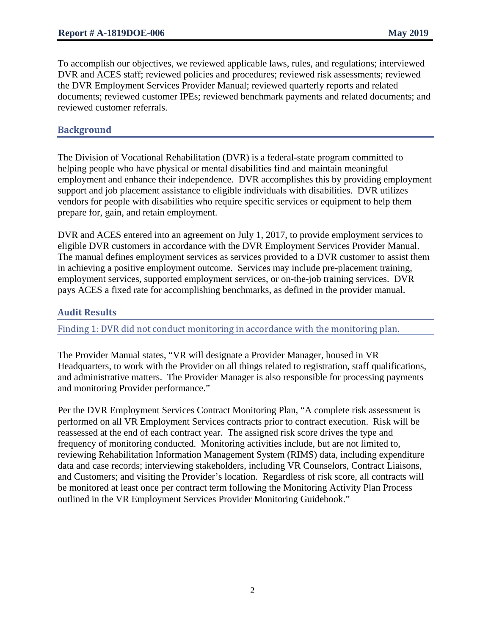To accomplish our objectives, we reviewed applicable laws, rules, and regulations; interviewed DVR and ACES staff; reviewed policies and procedures; reviewed risk assessments; reviewed the DVR Employment Services Provider Manual; reviewed quarterly reports and related documents; reviewed customer IPEs; reviewed benchmark payments and related documents; and reviewed customer referrals.

# **Background**

The Division of Vocational Rehabilitation (DVR) is a federal-state program committed to helping people who have physical or mental disabilities find and maintain meaningful employment and enhance their independence. DVR accomplishes this by providing employment support and job placement assistance to eligible individuals with disabilities. DVR utilizes vendors for people with disabilities who require specific services or equipment to help them prepare for, gain, and retain employment.

DVR and ACES entered into an agreement on July 1, 2017, to provide employment services to eligible DVR customers in accordance with the DVR Employment Services Provider Manual. The manual defines employment services as services provided to a DVR customer to assist them in achieving a positive employment outcome. Services may include pre-placement training, employment services, supported employment services, or on-the-job training services. DVR pays ACES a fixed rate for accomplishing benchmarks, as defined in the provider manual.

# **Audit Results**

Finding 1: DVR did not conduct monitoring in accordance with the monitoring plan.

The Provider Manual states, "VR will designate a Provider Manager, housed in VR Headquarters, to work with the Provider on all things related to registration, staff qualifications, and administrative matters. The Provider Manager is also responsible for processing payments and monitoring Provider performance."

Per the DVR Employment Services Contract Monitoring Plan, "A complete risk assessment is performed on all VR Employment Services contracts prior to contract execution. Risk will be reassessed at the end of each contract year. The assigned risk score drives the type and frequency of monitoring conducted. Monitoring activities include, but are not limited to, reviewing Rehabilitation Information Management System (RIMS) data, including expenditure data and case records; interviewing stakeholders, including VR Counselors, Contract Liaisons, and Customers; and visiting the Provider's location. Regardless of risk score, all contracts will be monitored at least once per contract term following the Monitoring Activity Plan Process outlined in the VR Employment Services Provider Monitoring Guidebook."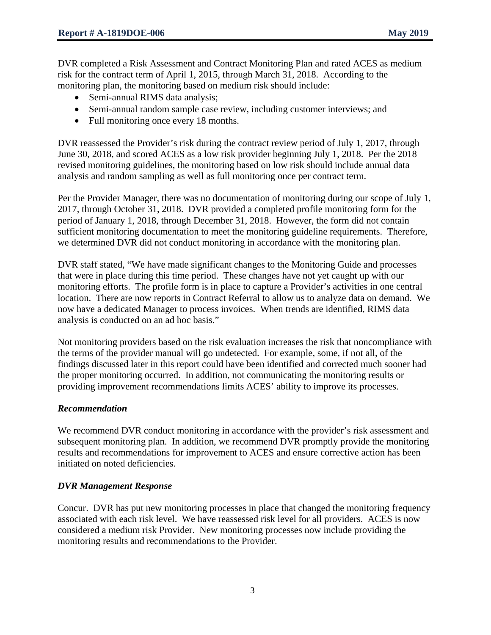DVR completed a Risk Assessment and Contract Monitoring Plan and rated ACES as medium risk for the contract term of April 1, 2015, through March 31, 2018. According to the monitoring plan, the monitoring based on medium risk should include:

- Semi-annual RIMS data analysis;
- Semi-annual random sample case review, including customer interviews; and
- Full monitoring once every 18 months.

DVR reassessed the Provider's risk during the contract review period of July 1, 2017, through June 30, 2018, and scored ACES as a low risk provider beginning July 1, 2018. Per the 2018 revised monitoring guidelines, the monitoring based on low risk should include annual data analysis and random sampling as well as full monitoring once per contract term.

Per the Provider Manager, there was no documentation of monitoring during our scope of July 1, 2017, through October 31, 2018. DVR provided a completed profile monitoring form for the period of January 1, 2018, through December 31, 2018. However, the form did not contain sufficient monitoring documentation to meet the monitoring guideline requirements. Therefore, we determined DVR did not conduct monitoring in accordance with the monitoring plan.

DVR staff stated, "We have made significant changes to the Monitoring Guide and processes that were in place during this time period. These changes have not yet caught up with our monitoring efforts. The profile form is in place to capture a Provider's activities in one central location. There are now reports in Contract Referral to allow us to analyze data on demand. We now have a dedicated Manager to process invoices. When trends are identified, RIMS data analysis is conducted on an ad hoc basis."

Not monitoring providers based on the risk evaluation increases the risk that noncompliance with the terms of the provider manual will go undetected. For example, some, if not all, of the findings discussed later in this report could have been identified and corrected much sooner had the proper monitoring occurred. In addition, not communicating the monitoring results or providing improvement recommendations limits ACES' ability to improve its processes.

# *Recommendation*

We recommend DVR conduct monitoring in accordance with the provider's risk assessment and subsequent monitoring plan. In addition, we recommend DVR promptly provide the monitoring results and recommendations for improvement to ACES and ensure corrective action has been initiated on noted deficiencies.

# *DVR Management Response*

Concur. DVR has put new monitoring processes in place that changed the monitoring frequency associated with each risk level. We have reassessed risk level for all providers. ACES is now considered a medium risk Provider. New monitoring processes now include providing the monitoring results and recommendations to the Provider.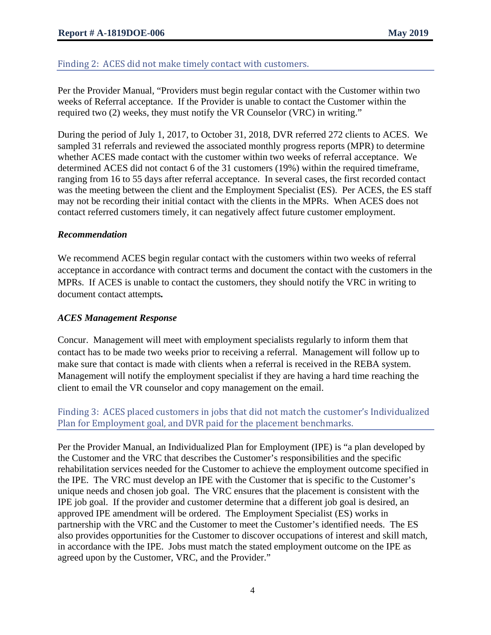# Finding 2: ACES did not make timely contact with customers.

Per the Provider Manual, "Providers must begin regular contact with the Customer within two weeks of Referral acceptance. If the Provider is unable to contact the Customer within the required two (2) weeks, they must notify the VR Counselor (VRC) in writing."

During the period of July 1, 2017, to October 31, 2018, DVR referred 272 clients to ACES. We sampled 31 referrals and reviewed the associated monthly progress reports (MPR) to determine whether ACES made contact with the customer within two weeks of referral acceptance. We determined ACES did not contact 6 of the 31 customers (19%) within the required timeframe, ranging from 16 to 55 days after referral acceptance. In several cases, the first recorded contact was the meeting between the client and the Employment Specialist (ES). Per ACES, the ES staff may not be recording their initial contact with the clients in the MPRs. When ACES does not contact referred customers timely, it can negatively affect future customer employment.

#### *Recommendation*

We recommend ACES begin regular contact with the customers within two weeks of referral acceptance in accordance with contract terms and document the contact with the customers in the MPRs. If ACES is unable to contact the customers, they should notify the VRC in writing to document contact attempts*.* 

### *ACES Management Response*

Concur. Management will meet with employment specialists regularly to inform them that contact has to be made two weeks prior to receiving a referral. Management will follow up to make sure that contact is made with clients when a referral is received in the REBA system. Management will notify the employment specialist if they are having a hard time reaching the client to email the VR counselor and copy management on the email.

# Finding 3: ACES placed customers in jobs that did not match the customer's Individualized Plan for Employment goal, and DVR paid for the placement benchmarks.

Per the Provider Manual, an Individualized Plan for Employment (IPE) is "a plan developed by the Customer and the VRC that describes the Customer's responsibilities and the specific rehabilitation services needed for the Customer to achieve the employment outcome specified in the IPE. The VRC must develop an IPE with the Customer that is specific to the Customer's unique needs and chosen job goal. The VRC ensures that the placement is consistent with the IPE job goal. If the provider and customer determine that a different job goal is desired, an approved IPE amendment will be ordered. The Employment Specialist (ES) works in partnership with the VRC and the Customer to meet the Customer's identified needs. The ES also provides opportunities for the Customer to discover occupations of interest and skill match, in accordance with the IPE. Jobs must match the stated employment outcome on the IPE as agreed upon by the Customer, VRC, and the Provider."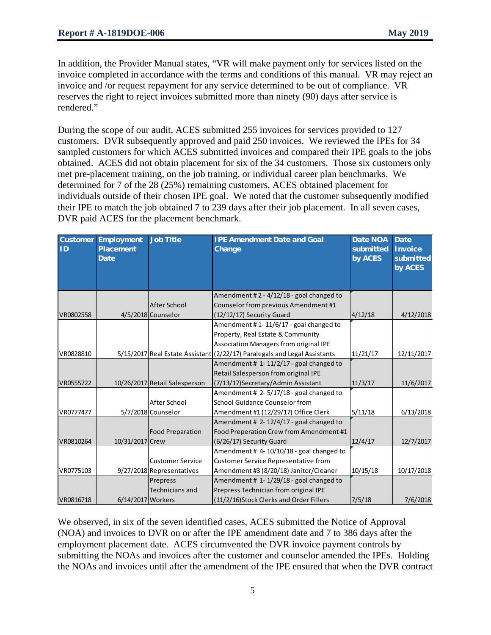In addition, the Provider Manual states, "VR will make payment only for services listed on the invoice completed in accordance with the terms and conditions of this manual. VR may reject an invoice and /or request repayment for any service determined to be out of compliance. VR reserves the right to reject invoices submitted more than ninety (90) days after service is rendered."

During the scope of our audit, ACES submitted 255 invoices for services provided to 127 customers. DVR subsequently approved and paid 250 invoices. We reviewed the IPEs for 34 sampled customers for which ACES submitted invoices and compared their IPE goals to the jobs obtained. ACES did not obtain placement for six of the 34 customers. Those six customers only met pre-placement training, on the job training, or individual career plan benchmarks. We determined for 7 of the 28 (25%) remaining customers, ACES obtained placement for individuals outside of their chosen IPE goal. We noted that the customer subsequently modified their IPE to match the job obtained 7 to 239 days after their job placement. In all seven cases, DVR paid ACES for the placement benchmark.

| <b>Customer</b><br>ID | <b>Employment</b><br><b>Placement</b><br><b>Date</b> | <b>Job Title</b>              | <b>IPE Amendment Date and Goal</b><br>Change                              | <b>Date NOA</b><br>submitted<br>by ACES | <b>Date</b><br><b>Invoice</b><br>submitted<br>by ACES |
|-----------------------|------------------------------------------------------|-------------------------------|---------------------------------------------------------------------------|-----------------------------------------|-------------------------------------------------------|
|                       |                                                      |                               |                                                                           |                                         |                                                       |
|                       |                                                      |                               | Amendment #2 - 4/12/18 - goal changed to                                  |                                         |                                                       |
|                       |                                                      | After School                  | Counselor from previous Amendment #1                                      |                                         |                                                       |
| VR0802558             |                                                      | 4/5/2018 Counselor            | (12/12/17) Security Guard                                                 | 4/12/18                                 | 4/12/2018                                             |
|                       |                                                      |                               | Amendment #1-11/6/17 - goal changed to                                    |                                         |                                                       |
|                       |                                                      |                               | Property, Real Estate & Community                                         |                                         |                                                       |
|                       |                                                      |                               | Association Managers from original IPE                                    |                                         |                                                       |
| VR0828810             |                                                      |                               | 5/15/2017 Real Estate Assistant (2/22/17) Paralegals and Legal Assistants | 11/21/17                                | 12/11/2017                                            |
|                       |                                                      |                               | Amendment # 1-11/2/17 - goal changed to                                   |                                         |                                                       |
|                       |                                                      |                               | Retail Salesperson from original IPE                                      |                                         |                                                       |
| VR0555722             |                                                      | 10/26/2017 Retail Salesperson | (7/13/17) Secretary/Admin Assistant                                       | 11/3/17                                 | 11/6/2017                                             |
|                       |                                                      |                               | Amendment # 2-5/17/18 - goal changed to                                   |                                         |                                                       |
|                       |                                                      | After School                  | School Guidance Counselor from                                            |                                         |                                                       |
| VR0777477             |                                                      | 5/7/2018 Counselor            | Amendment #1 (12/29/17) Office Clerk                                      | 5/11/18                                 | 6/13/2018                                             |
|                       |                                                      |                               | Amendment # 2-12/4/17 - goal changed to                                   |                                         |                                                       |
|                       |                                                      | <b>Food Preparation</b>       | Food Preperation Crew from Amendment #1                                   |                                         |                                                       |
| VR0810264             | 10/31/2017 Crew                                      |                               | (6/26/17) Security Guard                                                  | 12/4/17                                 | 12/7/2017                                             |
|                       |                                                      |                               | Amendment #4-10/10/18 - goal changed to                                   |                                         |                                                       |
|                       |                                                      | <b>Customer Service</b>       | Customer Service Representative from                                      |                                         |                                                       |
| VR0775103             |                                                      | 9/27/2018 Representatives     | Amendment #3 (8/20/18) Janitor/Cleaner                                    | 10/15/18                                | 10/17/2018                                            |
|                       |                                                      | Prepress                      | Amendment # 1-1/29/18 - goal changed to                                   |                                         |                                                       |
|                       |                                                      | Technicians and               | Prepress Technician from original IPE                                     |                                         |                                                       |
| VR0816718             | 6/14/2017 Workers                                    |                               | (11/2/16) Stock Clerks and Order Fillers                                  | 7/5/18                                  | 7/6/2018                                              |

We observed, in six of the seven identified cases, ACES submitted the Notice of Approval (NOA) and invoices to DVR on or after the IPE amendment date and 7 to 386 days after the employment placement date. ACES circumvented the DVR invoice payment controls by submitting the NOAs and invoices after the customer and counselor amended the IPEs. Holding the NOAs and invoices until after the amendment of the IPE ensured that when the DVR contract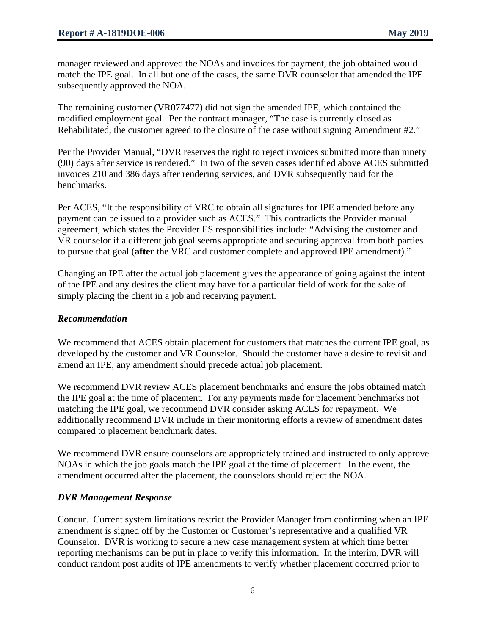manager reviewed and approved the NOAs and invoices for payment, the job obtained would match the IPE goal. In all but one of the cases, the same DVR counselor that amended the IPE subsequently approved the NOA.

The remaining customer (VR077477) did not sign the amended IPE, which contained the modified employment goal. Per the contract manager, "The case is currently closed as Rehabilitated, the customer agreed to the closure of the case without signing Amendment #2."

Per the Provider Manual, "DVR reserves the right to reject invoices submitted more than ninety (90) days after service is rendered." In two of the seven cases identified above ACES submitted invoices 210 and 386 days after rendering services, and DVR subsequently paid for the benchmarks.

Per ACES, "It the responsibility of VRC to obtain all signatures for IPE amended before any payment can be issued to a provider such as ACES." This contradicts the Provider manual agreement, which states the Provider ES responsibilities include: "Advising the customer and VR counselor if a different job goal seems appropriate and securing approval from both parties to pursue that goal (**after** the VRC and customer complete and approved IPE amendment)."

Changing an IPE after the actual job placement gives the appearance of going against the intent of the IPE and any desires the client may have for a particular field of work for the sake of simply placing the client in a job and receiving payment.

#### *Recommendation*

We recommend that ACES obtain placement for customers that matches the current IPE goal, as developed by the customer and VR Counselor. Should the customer have a desire to revisit and amend an IPE, any amendment should precede actual job placement.

We recommend DVR review ACES placement benchmarks and ensure the jobs obtained match the IPE goal at the time of placement. For any payments made for placement benchmarks not matching the IPE goal, we recommend DVR consider asking ACES for repayment. We additionally recommend DVR include in their monitoring efforts a review of amendment dates compared to placement benchmark dates.

We recommend DVR ensure counselors are appropriately trained and instructed to only approve NOAs in which the job goals match the IPE goal at the time of placement. In the event, the amendment occurred after the placement, the counselors should reject the NOA.

# *DVR Management Response*

Concur. Current system limitations restrict the Provider Manager from confirming when an IPE amendment is signed off by the Customer or Customer's representative and a qualified VR Counselor. DVR is working to secure a new case management system at which time better reporting mechanisms can be put in place to verify this information. In the interim, DVR will conduct random post audits of IPE amendments to verify whether placement occurred prior to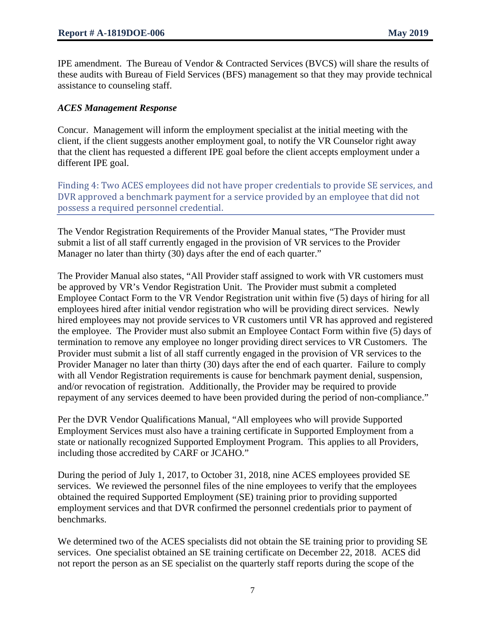IPE amendment. The Bureau of Vendor & Contracted Services (BVCS) will share the results of these audits with Bureau of Field Services (BFS) management so that they may provide technical assistance to counseling staff.

#### *ACES Management Response*

Concur. Management will inform the employment specialist at the initial meeting with the client, if the client suggests another employment goal, to notify the VR Counselor right away that the client has requested a different IPE goal before the client accepts employment under a different IPE goal.

Finding 4: Two ACES employees did not have proper credentials to provide SE services, and DVR approved a benchmark payment for a service provided by an employee that did not possess a required personnel credential.

The Vendor Registration Requirements of the Provider Manual states, "The Provider must submit a list of all staff currently engaged in the provision of VR services to the Provider Manager no later than thirty (30) days after the end of each quarter."

The Provider Manual also states, "All Provider staff assigned to work with VR customers must be approved by VR's Vendor Registration Unit. The Provider must submit a completed Employee Contact Form to the VR Vendor Registration unit within five (5) days of hiring for all employees hired after initial vendor registration who will be providing direct services. Newly hired employees may not provide services to VR customers until VR has approved and registered the employee. The Provider must also submit an Employee Contact Form within five (5) days of termination to remove any employee no longer providing direct services to VR Customers. The Provider must submit a list of all staff currently engaged in the provision of VR services to the Provider Manager no later than thirty (30) days after the end of each quarter. Failure to comply with all Vendor Registration requirements is cause for benchmark payment denial, suspension, and/or revocation of registration. Additionally, the Provider may be required to provide repayment of any services deemed to have been provided during the period of non-compliance."

Per the DVR Vendor Qualifications Manual, "All employees who will provide Supported Employment Services must also have a training certificate in Supported Employment from a state or nationally recognized Supported Employment Program. This applies to all Providers, including those accredited by CARF or JCAHO."

During the period of July 1, 2017, to October 31, 2018, nine ACES employees provided SE services. We reviewed the personnel files of the nine employees to verify that the employees obtained the required Supported Employment (SE) training prior to providing supported employment services and that DVR confirmed the personnel credentials prior to payment of benchmarks.

We determined two of the ACES specialists did not obtain the SE training prior to providing SE services. One specialist obtained an SE training certificate on December 22, 2018. ACES did not report the person as an SE specialist on the quarterly staff reports during the scope of the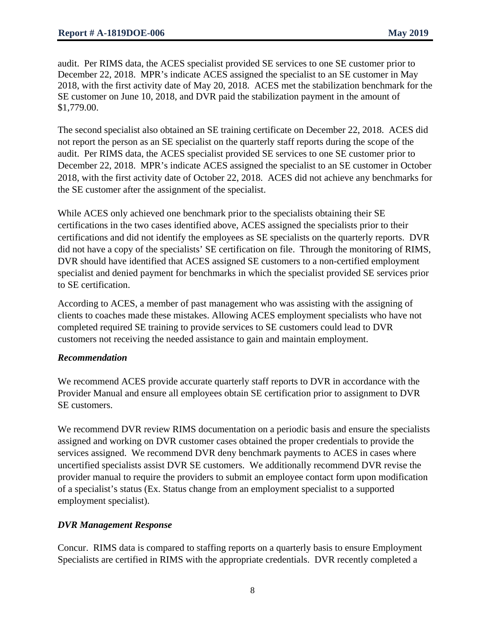audit. Per RIMS data, the ACES specialist provided SE services to one SE customer prior to December 22, 2018. MPR's indicate ACES assigned the specialist to an SE customer in May 2018, with the first activity date of May 20, 2018. ACES met the stabilization benchmark for the SE customer on June 10, 2018, and DVR paid the stabilization payment in the amount of \$1,779.00.

The second specialist also obtained an SE training certificate on December 22, 2018. ACES did not report the person as an SE specialist on the quarterly staff reports during the scope of the audit. Per RIMS data, the ACES specialist provided SE services to one SE customer prior to December 22, 2018. MPR's indicate ACES assigned the specialist to an SE customer in October 2018, with the first activity date of October 22, 2018. ACES did not achieve any benchmarks for the SE customer after the assignment of the specialist.

While ACES only achieved one benchmark prior to the specialists obtaining their SE certifications in the two cases identified above, ACES assigned the specialists prior to their certifications and did not identify the employees as SE specialists on the quarterly reports. DVR did not have a copy of the specialists' SE certification on file. Through the monitoring of RIMS, DVR should have identified that ACES assigned SE customers to a non-certified employment specialist and denied payment for benchmarks in which the specialist provided SE services prior to SE certification.

According to ACES, a member of past management who was assisting with the assigning of clients to coaches made these mistakes. Allowing ACES employment specialists who have not completed required SE training to provide services to SE customers could lead to DVR customers not receiving the needed assistance to gain and maintain employment.

# *Recommendation*

We recommend ACES provide accurate quarterly staff reports to DVR in accordance with the Provider Manual and ensure all employees obtain SE certification prior to assignment to DVR SE customers.

We recommend DVR review RIMS documentation on a periodic basis and ensure the specialists assigned and working on DVR customer cases obtained the proper credentials to provide the services assigned. We recommend DVR deny benchmark payments to ACES in cases where uncertified specialists assist DVR SE customers. We additionally recommend DVR revise the provider manual to require the providers to submit an employee contact form upon modification of a specialist's status (Ex. Status change from an employment specialist to a supported employment specialist).

# *DVR Management Response*

Concur. RIMS data is compared to staffing reports on a quarterly basis to ensure Employment Specialists are certified in RIMS with the appropriate credentials. DVR recently completed a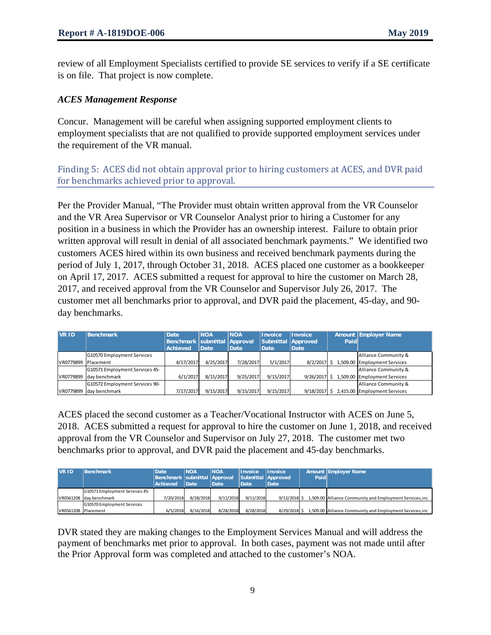review of all Employment Specialists certified to provide SE services to verify if a SE certificate is on file. That project is now complete.

# *ACES Management Response*

Concur. Management will be careful when assigning supported employment clients to employment specialists that are not qualified to provide supported employment services under the requirement of the VR manual.

Finding 5: ACES did not obtain approval prior to hiring customers at ACES, and DVR paid for benchmarks achieved prior to approval.

Per the Provider Manual, "The Provider must obtain written approval from the VR Counselor and the VR Area Supervisor or VR Counselor Analyst prior to hiring a Customer for any position in a business in which the Provider has an ownership interest. Failure to obtain prior written approval will result in denial of all associated benchmark payments." We identified two customers ACES hired within its own business and received benchmark payments during the period of July 1, 2017, through October 31, 2018. ACES placed one customer as a bookkeeper on April 17, 2017. ACES submitted a request for approval to hire the customer on March 28, 2017, and received approval from the VR Counselor and Supervisor July 26, 2017. The customer met all benchmarks prior to approval, and DVR paid the placement, 45-day, and 90 day benchmarks.

| <b>VR ID</b> | Benchmark                      | Date                             | <b>NOA</b> | <b>NOA</b>  | <b>Invoice</b>     | <b>Invoice</b> |      | Amount Employer Name                      |
|--------------|--------------------------------|----------------------------------|------------|-------------|--------------------|----------------|------|-------------------------------------------|
|              |                                | Benchmark   submittal   Approval |            |             | Submittal Approved |                | Paid |                                           |
|              |                                | <b>Achieved</b>                  | Date       | <b>Date</b> | Date               | Date           |      |                                           |
|              | G10570 Employment Services     |                                  |            |             |                    |                |      | Alliance Community &                      |
| VR0779899    | Placement                      | 4/17/2017                        | 4/25/2017  | 7/28/2017   | 5/1/2017           |                |      | 8/2/2017 \$ 1,509.00 Employment Services  |
|              | G10571 Employment Services 45- |                                  |            |             |                    |                |      | Alliance Community &                      |
| VR0779899    | day benchmark                  | 6/1/2017                         | 8/15/2017  | 9/25/2017   | 9/15/2017          |                |      | 9/26/2017 \$ 1,509.00 Employment Services |
|              | G10572 Employment Services 90- |                                  |            |             |                    |                |      | Alliance Community &                      |
| VR0779899    | day benchmark                  | 7/17/2017                        | 9/15/2017  | 9/15/2017   | 9/15/2017          |                |      | 9/18/2017 \$ 2,415.00 Employment Services |

ACES placed the second customer as a Teacher/Vocational Instructor with ACES on June 5, 2018. ACES submitted a request for approval to hire the customer on June 1, 2018, and received approval from the VR Counselor and Supervisor on July 27, 2018. The customer met two benchmarks prior to approval, and DVR paid the placement and 45-day benchmarks.

| VR ID.              | Benchmark                         | Date<br>Benchmark submittal Approval<br><b>Achieved</b> | <b>NOA</b><br>Date | <b>INOA</b><br><b>Date</b> | Invoice<br><b>Date</b> | <b>Invoice</b><br>Submittal Approved<br><b>Date</b> | Paid | Amount Employer Name                                     |
|---------------------|-----------------------------------|---------------------------------------------------------|--------------------|----------------------------|------------------------|-----------------------------------------------------|------|----------------------------------------------------------|
|                     | G10571 Employment Services 45-    |                                                         |                    |                            |                        |                                                     |      |                                                          |
|                     | VR0561208 Iday benchmark          | 7/20/2018                                               | 8/28/2018          | 9/11/2018                  | 9/11/2018              | $9/12/2018$ \$                                      |      | 1,509.00 Alliance Community and Employment Services, inc |
|                     | <b>G10570 Employment Services</b> |                                                         |                    |                            |                        |                                                     |      |                                                          |
| VR0561208 Placement |                                   | 6/5/2018                                                | 8/16/2018          | 8/28/2018                  | 8/28/2018              | 8/29/2018 \$                                        |      | 1,509.00 Alliance Community and Employment Services, inc |

DVR stated they are making changes to the Employment Services Manual and will address the payment of benchmarks met prior to approval. In both cases, payment was not made until after the Prior Approval form was completed and attached to the customer's NOA.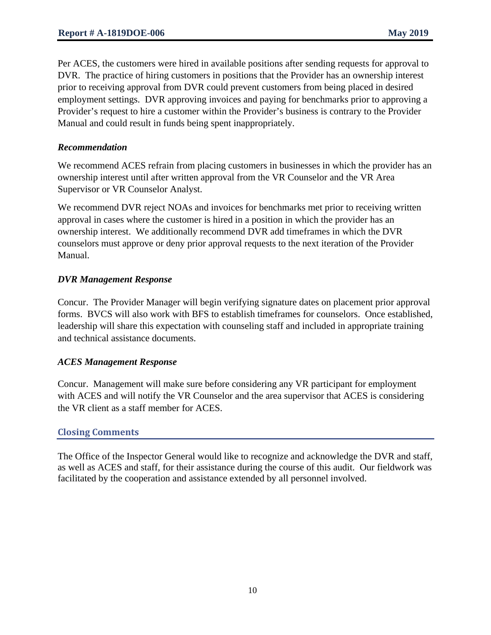Per ACES, the customers were hired in available positions after sending requests for approval to DVR. The practice of hiring customers in positions that the Provider has an ownership interest prior to receiving approval from DVR could prevent customers from being placed in desired employment settings. DVR approving invoices and paying for benchmarks prior to approving a Provider's request to hire a customer within the Provider's business is contrary to the Provider Manual and could result in funds being spent inappropriately.

#### *Recommendation*

We recommend ACES refrain from placing customers in businesses in which the provider has an ownership interest until after written approval from the VR Counselor and the VR Area Supervisor or VR Counselor Analyst.

We recommend DVR reject NOAs and invoices for benchmarks met prior to receiving written approval in cases where the customer is hired in a position in which the provider has an ownership interest. We additionally recommend DVR add timeframes in which the DVR counselors must approve or deny prior approval requests to the next iteration of the Provider Manual.

#### *DVR Management Response*

Concur. The Provider Manager will begin verifying signature dates on placement prior approval forms. BVCS will also work with BFS to establish timeframes for counselors. Once established, leadership will share this expectation with counseling staff and included in appropriate training and technical assistance documents.

#### *ACES Management Response*

Concur. Management will make sure before considering any VR participant for employment with ACES and will notify the VR Counselor and the area supervisor that ACES is considering the VR client as a staff member for ACES.

# **Closing Comments**

The Office of the Inspector General would like to recognize and acknowledge the DVR and staff, as well as ACES and staff, for their assistance during the course of this audit. Our fieldwork was facilitated by the cooperation and assistance extended by all personnel involved.